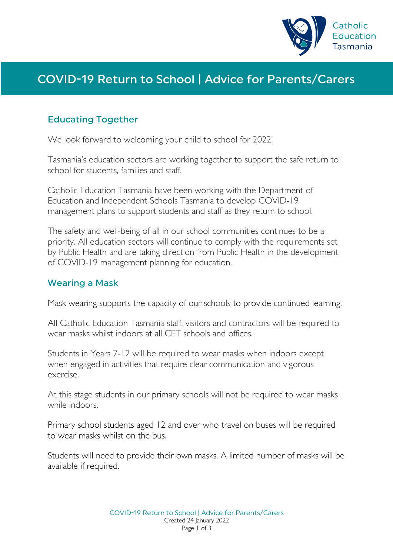

# COVID-19 Return to School | Advice for Parents/Carers

## Educating Together

We look forward to welcoming your child to school for 2022!

Tasmania's education sectors are working together to support the safe return to school for students, families and staff.

Catholic Education Tasmania have been working with the Department of Education and Independent Schools Tasmania to develop COVID-19 management plans to support students and staff as they return to school.

The safety and well-being of all in our school communities continues to be a priority. All education sectors will continue to comply with the requirements set by Public Health and are taking direction from Public Health in the development of COVID-19 management planning for education.

#### Wearing a Mask

Mask wearing supports the capacity of our schools to provide continued learning.

All Catholic Education Tasmania staff, visitors and contractors will be required to wear masks whilst indoors at all CET schools and offices.

Students in Years 7-12 will be required to wear masks when indoors except when engaged in activities that require clear communication and vigorous exercise.

At this stage students in our primary schools will not be required to wear masks while indoors.

Primary school students aged 12 and over who travel on buses will be required to wear masks whilst on the bus.

Students will need to provide their own masks. A limited number of masks will be available if required.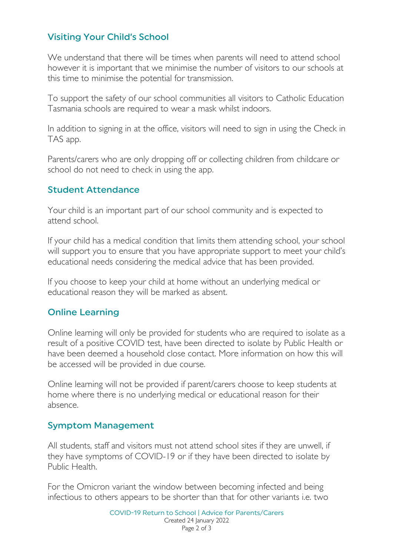## Visiting Your Child's School

We understand that there will be times when parents will need to attend school however it is important that we minimise the number of visitors to our schools at this time to minimise the potential for transmission.

To support the safety of our school communities all visitors to Catholic Education Tasmania schools are required to wear a mask whilst indoors.

In addition to signing in at the office, visitors will need to sign in using the Check in TAS app.

Parents/carers who are only dropping off or collecting children from childcare or school do not need to check in using the app.

#### Student Attendance

Your child is an important part of our school community and is expected to attend school.

If your child has a medical condition that limits them attending school, your school will support you to ensure that you have appropriate support to meet your child's educational needs considering the medical advice that has been provided.

If you choose to keep your child at home without an underlying medical or educational reason they will be marked as absent.

#### Online Learning

Online learning will only be provided for students who are required to isolate as a result of a positive COVID test, have been directed to isolate by Public Health or have been deemed a household close contact. More information on how this will be accessed will be provided in due course.

Online learning will not be provided if parent/carers choose to keep students at home where there is no underlying medical or educational reason for their absence.

#### Symptom Management

All students, staff and visitors must not attend school sites if they are unwell, if they have symptoms of COVID-19 or if they have been directed to isolate by Public Health.

For the Omicron variant the window between becoming infected and being infectious to others appears to be shorter than that for other variants i.e. two